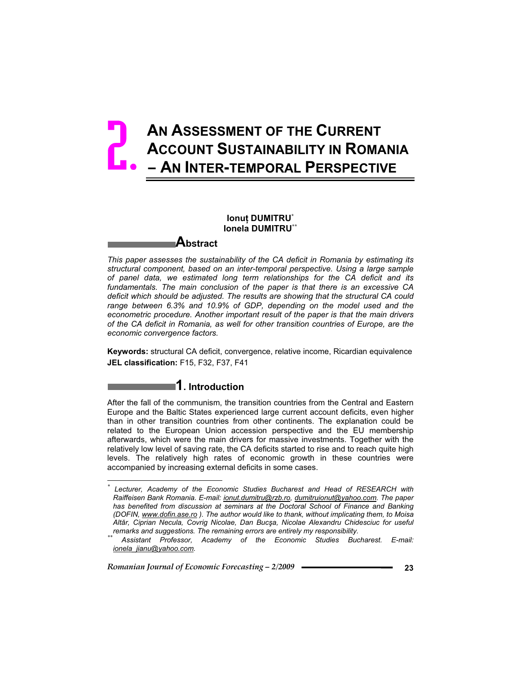# **AN ASSESSMENT OF THE CURRENT ACCOUNT SUSTAINABILITY IN ROMANIA – AN INTER-TEMPORAL PERSPECTIVE**  2.

## **Ionuț DUMITRU<sup>\*</sup> Ionela DUMITRU\*\***

# **Abstract**

*This paper assesses the sustainability of the CA deficit in Romania by estimating its structural component, based on an inter-temporal perspective. Using a large sample of panel data, we estimated long term relationships for the CA deficit and its fundamentals. The main conclusion of the paper is that there is an excessive CA deficit which should be adjusted. The results are showing that the structural CA could range between 6.3% and 10.9% of GDP, depending on the model used and the econometric procedure. Another important result of the paper is that the main drivers of the CA deficit in Romania, as well for other transition countries of Europe, are the economic convergence factors.* 

**Keywords:** structural CA deficit, convergence, relative income, Ricardian equivalence **JEL classification:** F15, F32, F37, F41

# **1. Introduction**

After the fall of the communism, the transition countries from the Central and Eastern Europe and the Baltic States experienced large current account deficits, even higher than in other transition countries from other continents. The explanation could be related to the European Union accession perspective and the EU membership afterwards, which were the main drivers for massive investments. Together with the relatively low level of saving rate, the CA deficits started to rise and to reach quite high levels. The relatively high rates of economic growth in these countries were accompanied by increasing external deficits in some cases.

*Romanian Journal of Economic Forecasting – 2/2009* **<sup>23</sup>**

 $\overline{a}$ 

*<sup>\*</sup> Lecturer, Academy of the Economic Studies Bucharest and Head of RESEARCH with Raiffeisen Bank Romania. E-mail: ionut.dumitru@rzb.ro, dumitruionut@yahoo.com. The paper has benefited from discussion at seminars at the Doctoral School of Finance and Banking (DOFIN, www.dofin.ase.ro ). The author would like to thank, without implicating them, to Moisa*  Altăr, Ciprian Necula, Covrig Nicolae, Dan Bucşa, Nicolae Alexandru Chidesciuc for useful *remarks and suggestions. The remaining errors are entirely my responsibility. \*\* Assistant Professor, Academy of the Economic Studies Bucharest. E-mail:* 

*ionela\_jianu@yahoo.com.*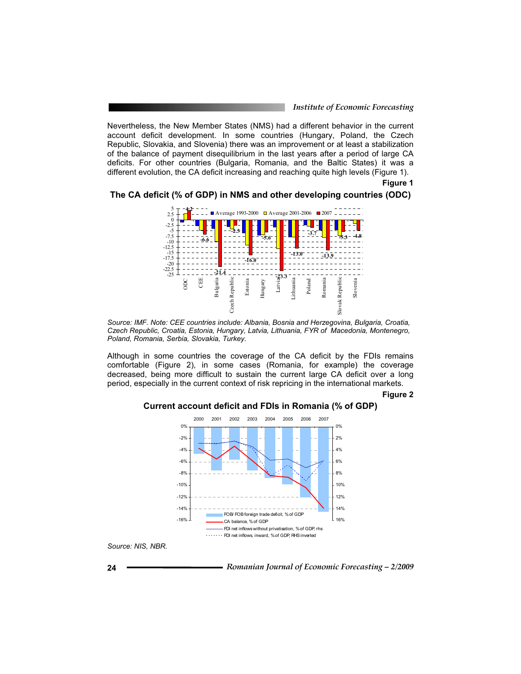*Institute of Economic Forecasting*

Nevertheless, the New Member States (NMS) had a different behavior in the current account deficit development. In some countries (Hungary, Poland, the Czech Republic, Slovakia, and Slovenia) there was an improvement or at least a stabilization of the balance of payment disequilibrium in the last years after a period of large CA deficits. For other countries (Bulgaria, Romania, and the Baltic States) it was a different evolution, the CA deficit increasing and reaching quite high levels (Figure 1).

**Figure 1** 

### **The CA deficit (% of GDP) in NMS and other developing countries (ODC)**



*Source: IMF. Note: CEE countries include: Albania, Bosnia and Herzegovina, Bulgaria, Croatia, Czech Republic, Croatia, Estonia, Hungary, Latvia, Lithuania, FYR of Macedonia, Montenegro, Poland, Romania, Serbia, Slovakia, Turkey.* 

Although in some countries the coverage of the CA deficit by the FDIs remains comfortable (Figure 2), in some cases (Romania, for example) the coverage decreased, being more difficult to sustain the current large CA deficit over a long period, especially in the current context of risk repricing in the international markets.

#### **Figure 2**



# **Current account deficit and FDIs in Romania (% of GDP)**

*Source: NIS, NBR.* 

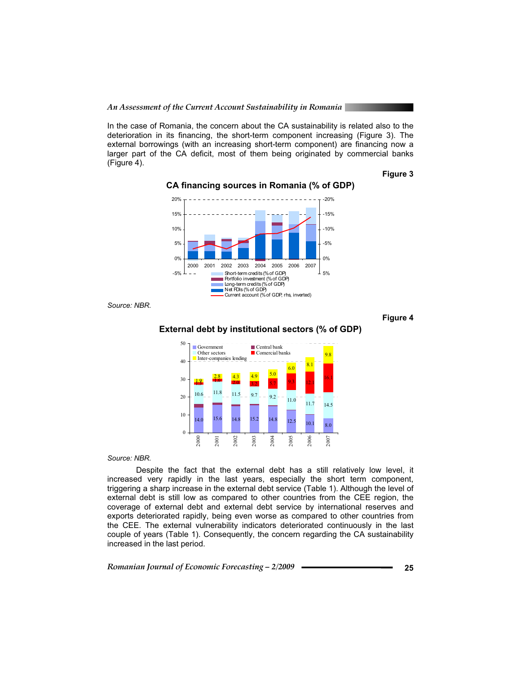In the case of Romania, the concern about the CA sustainability is related also to the deterioration in its financing, the short-term component increasing (Figure 3). The external borrowings (with an increasing short-term component) are financing now a larger part of the CA deficit, most of them being originated by commercial banks (Figure 4).

### **Figure 3**



**CA financing sources in Romania (% of GDP)** 

*Source: NBR.* 

**Figure 4** 

### **External debt by institutional sectors (% of GDP)**



*Source: NBR.* 

Despite the fact that the external debt has a still relatively low level, it increased very rapidly in the last years, especially the short term component, triggering a sharp increase in the external debt service (Table 1). Although the level of external debt is still low as compared to other countries from the CEE region, the coverage of external debt and external debt service by international reserves and exports deteriorated rapidly, being even worse as compared to other countries from the CEE. The external vulnerability indicators deteriorated continuously in the last couple of years (Table 1). Consequently, the concern regarding the CA sustainability increased in the last period.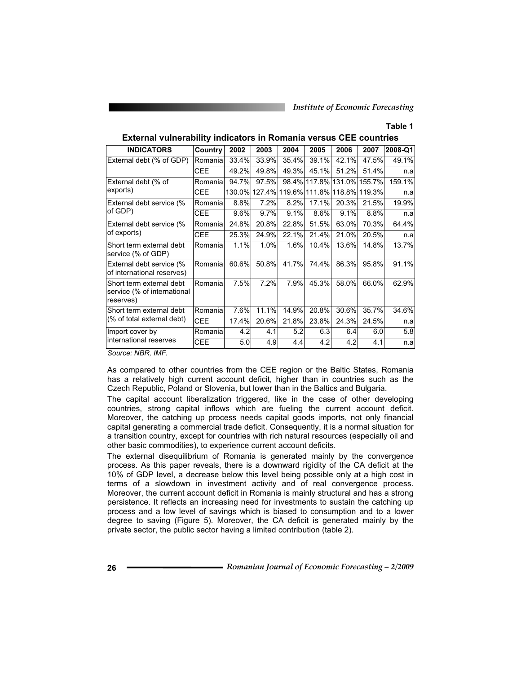### **Table 1**

| <b>INDICATORS</b>                                                    | Country    | 2002    | 2003   | 2004   | 2005  | 2006  | 2007                 | 2008-Q1 |
|----------------------------------------------------------------------|------------|---------|--------|--------|-------|-------|----------------------|---------|
| External debt (% of GDP)                                             | Romanial   | 33.4%   | 33.9%  | 35.4%  | 39.1% | 42.1% | 47.5%                | 49.1%   |
|                                                                      | <b>CEE</b> | 49.2%   | 49.8%  | 49.3%  | 45.1% | 51.2% | 51.4%                | n.a     |
| External debt (% of                                                  | Romania    | 94.7%   | 97.5%  | 98.4%  |       |       | 117.8% 131.0% 155.7% | 159.1%  |
| exports)                                                             | <b>CEE</b> | 130.0%l | 127.4% | 119.6% |       |       | 111.8% 118.8% 119.3% | n.a     |
| External debt service (%                                             | Romanial   | 8.8%    | 7.2%   | 8.2%   | 17.1% | 20.3% | 21.5%                | 19.9%   |
| of GDP)                                                              | <b>CEE</b> | 9.6%    | 9.7%   | 9.1%   | 8.6%  | 9.1%  | 8.8%                 | n.a     |
| External debt service (%                                             | Romania    | 24.8%   | 20.8%  | 22.8%  | 51.5% | 63.0% | 70.3%                | 64.4%   |
| of exports)                                                          | <b>CEE</b> | 25.3%   | 24.9%  | 22.1%  | 21.4% | 21.0% | 20.5%                | n.a     |
| Short term external debt<br>service (% of GDP)                       | Romania    | 1.1%    | 1.0%   | 1.6%   | 10.4% | 13.6% | 14.8%                | 13.7%   |
| External debt service (%<br>of international reserves)               | Romania    | 60.6%   | 50.8%  | 41.7%  | 74.4% | 86.3% | 95.8%                | 91.1%   |
| Short term external debt<br>service (% of international<br>reserves) | Romania    | 7.5%    | 7.2%   | 7.9%   | 45.3% | 58.0% | 66.0%                | 62.9%   |
| Short term external debt                                             | Romania    | 7.6%    | 11.1%  | 14.9%  | 20.8% | 30.6% | 35.7%                | 34.6%   |
| (% of total external debt)                                           | <b>CEE</b> | 17.4%   | 20.6%  | 21.8%  | 23.8% | 24.3% | 24.5%                | n.a     |
| Import cover by                                                      | Romania    | 4.2     | 4.1    | 5.2    | 6.3   | 6.4   | 6.0                  | 5.8     |
| international reserves                                               | CEE        | 5.0     | 4.9    | 4.4    | 4.2   | 4.2   | 4.1                  | n.a     |

**External vulnerability indicators in Romania versus CEE countries** 

*Source: NBR, IMF.* 

As compared to other countries from the CEE region or the Baltic States, Romania has a relatively high current account deficit, higher than in countries such as the Czech Republic, Poland or Slovenia, but lower than in the Baltics and Bulgaria.

The capital account liberalization triggered, like in the case of other developing countries, strong capital inflows which are fueling the current account deficit. Moreover, the catching up process needs capital goods imports, not only financial capital generating a commercial trade deficit. Consequently, it is a normal situation for a transition country, except for countries with rich natural resources (especially oil and other basic commodities), to experience current account deficits.

The external disequilibrium of Romania is generated mainly by the convergence process. As this paper reveals, there is a downward rigidity of the CA deficit at the 10% of GDP level, a decrease below this level being possible only at a high cost in terms of a slowdown in investment activity and of real convergence process. Moreover, the current account deficit in Romania is mainly structural and has a strong persistence. It reflects an increasing need for investments to sustain the catching up process and a low level of savings which is biased to consumption and to a lower degree to saving (Figure 5). Moreover, the CA deficit is generated mainly by the private sector, the public sector having a limited contribution (table 2).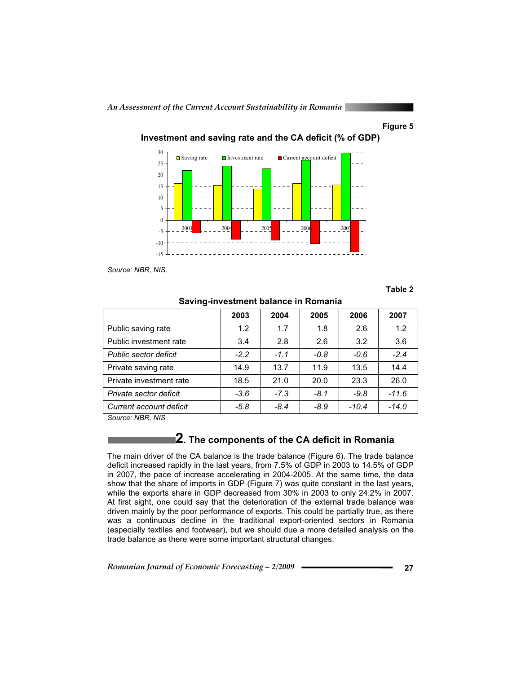### **Figure 5**



**Investment and saving rate and the CA deficit (% of GDP)** 

*Source: NBR, NIS.* 

**Table 2** 

|                                                                             | 2003   | 2004   | 2005   | 2006    | 2007    |
|-----------------------------------------------------------------------------|--------|--------|--------|---------|---------|
| Public saving rate                                                          | 1.2    | 1.7    | 1.8    | 2.6     | 1.2     |
| Public investment rate                                                      | 3.4    | 2.8    | 2.6    | 3.2     | 3.6     |
| Public sector deficit                                                       | $-2.2$ | $-1.1$ | $-0.8$ | $-0.6$  | $-2.4$  |
| Private saving rate                                                         | 14.9   | 13.7   | 11.9   | 13.5    | 14.4    |
| Private investment rate                                                     | 18.5   | 21.0   | 20.0   | 23.3    | 26.0    |
| Private sector deficit                                                      | $-3.6$ | $-7.3$ | $-8.1$ | $-9.8$  | $-11.6$ |
| Current account deficit<br>$\sim$ $\sim$ $\sim$ $\sim$ $\sim$ $\sim$ $\sim$ | $-5.8$ | $-8.4$ | $-8.9$ | $-10.4$ | $-14.0$ |

### **Saving-investment balance in Romania**

*Source: NBR, NIS* 

# **2. The components of the CA deficit in Romania**

The main driver of the CA balance is the trade balance (Figure 6). The trade balance deficit increased rapidly in the last years, from 7.5% of GDP in 2003 to 14.5% of GDP in 2007, the pace of increase accelerating in 2004-2005. At the same time, the data show that the share of imports in GDP (Figure 7) was quite constant in the last years, while the exports share in GDP decreased from 30% in 2003 to only 24.2% in 2007. At first sight, one could say that the deterioration of the external trade balance was driven mainly by the poor performance of exports. This could be partially true, as there was a continuous decline in the traditional export-oriented sectors in Romania (especially textiles and footwear), but we should due a more detailed analysis on the trade balance as there were some important structural changes.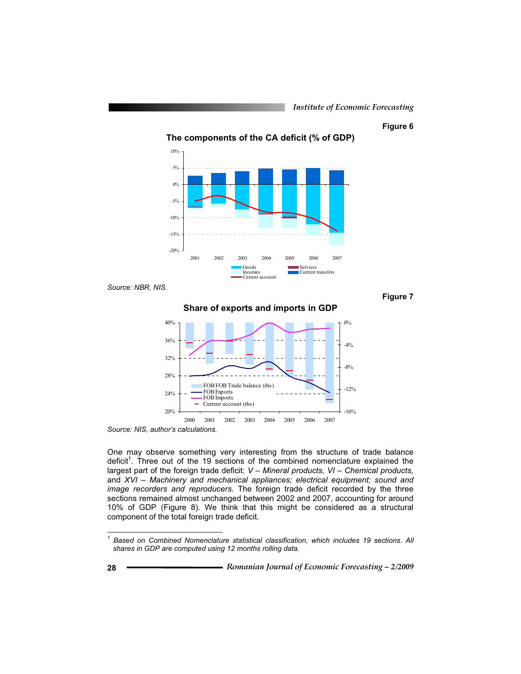### **Figure 6**

**Figure 7** 



*Source: NBR, NIS.* 

**Share of exports and imports in GDP** 



*Source: NIS, author's calculations.* 

One may observe something very interesting from the structure of trade balance deficit<sup>1</sup>. Three out of the 19 sections of the combined nomenclature explained the largest part of the foreign trade deficit: *V – Mineral products, VI – Chemical products,*  and *XVI – Machinery and mechanical appliances; electrical equipment; sound and image recorders and reproducers.* The foreign trade deficit recorded by the three sections remained almost unchanged between 2002 and 2007, accounting for around 10% of GDP (Figure 8). We think that this might be considered as a structural component of the total foreign trade deficit.

 $\overline{a}$ 

*<sup>1</sup> Based on Combined Nomenclature statistical classification, which includes 19 sections. All shares in GDP are computed using 12 months rolling data.*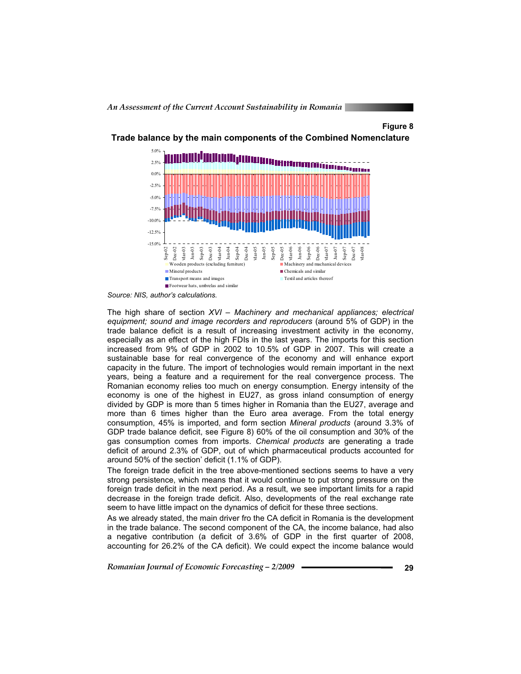### **Figure 8**



**Trade balance by the main components of the Combined Nomenclature** 

*Source: NIS, author's calculations.* 

The high share of section *XVI – Machinery and mechanical appliances; electrical equipment; sound and image recorders and reproducers* (around 5% of GDP) in the trade balance deficit is a result of increasing investment activity in the economy, especially as an effect of the high FDIs in the last years. The imports for this section increased from 9% of GDP in 2002 to 10.5% of GDP in 2007. This will create a sustainable base for real convergence of the economy and will enhance export capacity in the future. The import of technologies would remain important in the next years, being a feature and a requirement for the real convergence process. The Romanian economy relies too much on energy consumption. Energy intensity of the economy is one of the highest in EU27, as gross inland consumption of energy divided by GDP is more than 5 times higher in Romania than the EU27, average and more than 6 times higher than the Euro area average. From the total energy consumption, 45% is imported, and form section *Mineral products* (around 3.3% of GDP trade balance deficit, see Figure 8) 60% of the oil consumption and 30% of the gas consumption comes from imports. *Chemical products* are generating a trade deficit of around 2.3% of GDP, out of which pharmaceutical products accounted for around 50% of the section' deficit (1.1% of GDP).

The foreign trade deficit in the tree above-mentioned sections seems to have a very strong persistence, which means that it would continue to put strong pressure on the foreign trade deficit in the next period. As a result, we see important limits for a rapid decrease in the foreign trade deficit. Also, developments of the real exchange rate seem to have little impact on the dynamics of deficit for these three sections.

As we already stated, the main driver fro the CA deficit in Romania is the development in the trade balance. The second component of the CA, the income balance, had also a negative contribution (a deficit of 3.6% of GDP in the first quarter of 2008, accounting for 26.2% of the CA deficit). We could expect the income balance would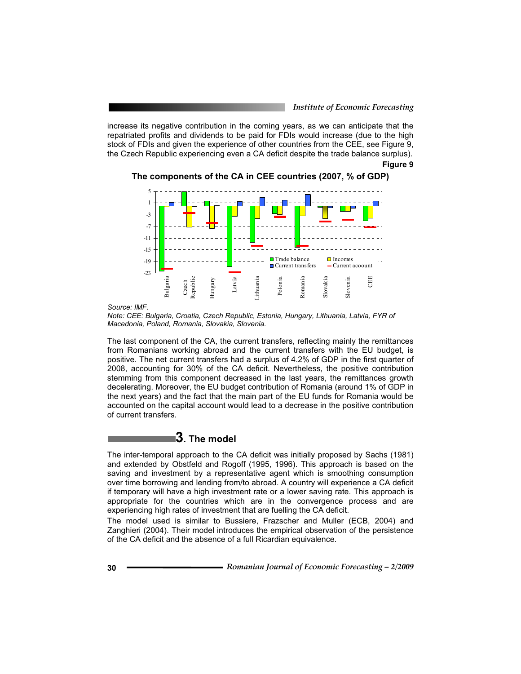increase its negative contribution in the coming years, as we can anticipate that the repatriated profits and dividends to be paid for FDIs would increase (due to the high stock of FDIs and given the experience of other countries from the CEE, see Figure 9, the Czech Republic experiencing even a CA deficit despite the trade balance surplus).

**Figure 9** 

**The components of the CA in CEE countries (2007, % of GDP)** 



*Source: IMF.* 

*Note: CEE: Bulgaria, Croatia, Czech Republic, Estonia, Hungary, Lithuania, Latvia, FYR of Macedonia, Poland, Romania, Slovakia, Slovenia.* 

The last component of the CA, the current transfers, reflecting mainly the remittances from Romanians working abroad and the current transfers with the EU budget, is positive. The net current transfers had a surplus of 4.2% of GDP in the first quarter of 2008, accounting for 30% of the CA deficit. Nevertheless, the positive contribution stemming from this component decreased in the last years, the remittances growth decelerating. Moreover, the EU budget contribution of Romania (around 1% of GDP in the next years) and the fact that the main part of the EU funds for Romania would be accounted on the capital account would lead to a decrease in the positive contribution of current transfers.

# **3. The model**

The inter-temporal approach to the CA deficit was initially proposed by Sachs (1981) and extended by Obstfeld and Rogoff (1995, 1996). This approach is based on the saving and investment by a representative agent which is smoothing consumption over time borrowing and lending from/to abroad. A country will experience a CA deficit if temporary will have a high investment rate or a lower saving rate. This approach is appropriate for the countries which are in the convergence process and are experiencing high rates of investment that are fuelling the CA deficit.

The model used is similar to Bussiere, Frazscher and Muller (ECB, 2004) and Zanghieri (2004). Their model introduces the empirical observation of the persistence of the CA deficit and the absence of a full Ricardian equivalence.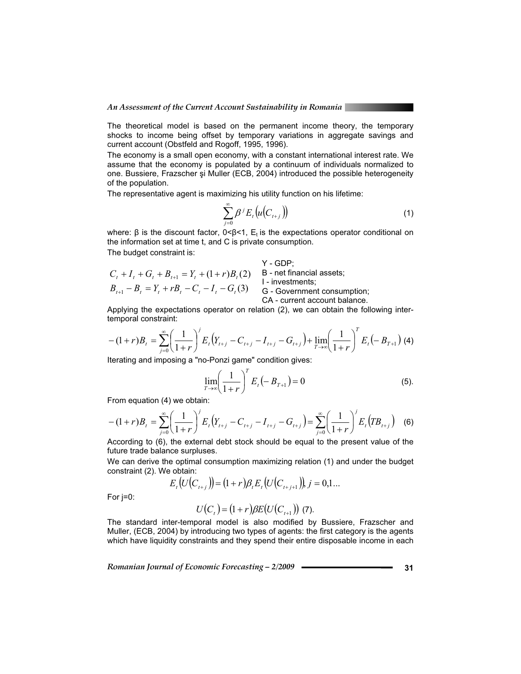The theoretical model is based on the permanent income theory, the temporary shocks to income being offset by temporary variations in aggregate savings and current account (Obstfeld and Rogoff, 1995, 1996).

The economy is a small open economy, with a constant international interest rate. We assume that the economy is populated by a continuum of individuals normalized to one. Bussiere, Frazscher și Muller (ECB, 2004) introduced the possible heterogeneity of the population.

The representative agent is maximizing his utility function on his lifetime:

$$
\sum_{j=0}^{\infty} \beta^j E_t \big( u \big( C_{t+j} \big) \big) \tag{1}
$$

where:  $\beta$  is the discount factor, 0< $\beta$ <1,  $E_t$  is the expectations operator conditional on the information set at time t, and C is private consumption.

The budget constraint is:

#### Y - GDP;

$$
C_t + I_t + G_t + B_{t+1} = Y_t + (1+r)B_t(2)
$$
  
\n
$$
B_{t+1} - B_t = Y_t + rB_t - C_t - I_t - G_t(3)
$$
  
\n
$$
B_{t+1} - B_t = Y_t + rB_t - C_t - I_t - G_t(3)
$$
  
\n
$$
C_A - current account balance.
$$

Applying the expectations operator on relation (2), we can obtain the following intertemporal constraint:

$$
-(1+r)B_t = \sum_{j=0}^{\infty} \left(\frac{1}{1+r}\right)^j E_t \left(Y_{t+j} - C_{t+j} - I_{t+j} - G_{t+j}\right) + \lim_{T \to \infty} \left(\frac{1}{1+r}\right)^T E_t \left(-B_{T+1}\right)
$$
(4)

Iterating and imposing a "no-Ponzi game" condition gives:

$$
\lim_{T \to \infty} \left( \frac{1}{1+r} \right)^T E_t \left( -B_{T+1} \right) = 0 \tag{5}.
$$

From equation (4) we obtain:

$$
-(1+r)B_t = \sum_{j=0}^{\infty} \left(\frac{1}{1+r}\right)^j E_t \left(Y_{t+j} - C_{t+j} - I_{t+j} - G_{t+j}\right) = \sum_{j=0}^{\infty} \left(\frac{1}{1+r}\right)^j E_t \left(TB_{t+j}\right)
$$
 (6)

According to (6), the external debt stock should be equal to the present value of the future trade balance surpluses.

We can derive the optimal consumption maximizing relation (1) and under the budget constraint (2). We obtain:

$$
E_t(U(C_{t+j})) = (1+r)\beta_t E_t(U(C_{t+j+1})), j = 0,1...
$$

For j=0:

$$
U(C_t) = (1+r)\beta E(U(C_{t+1}))
$$
 (7).

The standard inter-temporal model is also modified by Bussiere, Frazscher and Muller, (ECB, 2004) by introducing two types of agents: the first category is the agents which have liquidity constraints and they spend their entire disposable income in each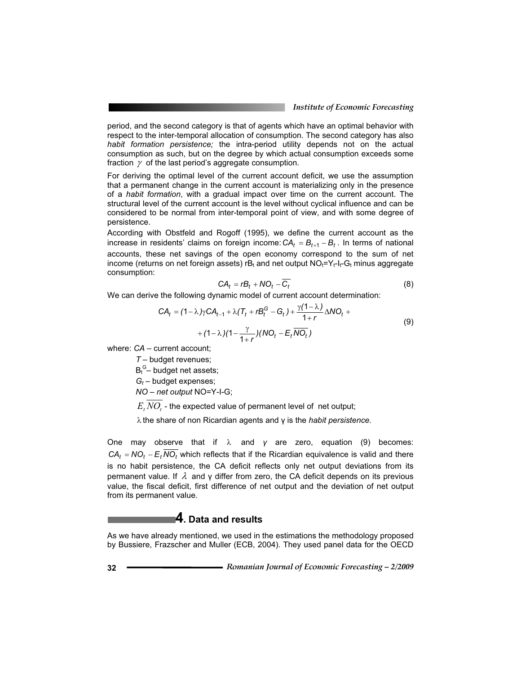period, and the second category is that of agents which have an optimal behavior with respect to the inter-temporal allocation of consumption. The second category has also *habit formation persistence;* the intra-period utility depends not on the actual consumption as such, but on the degree by which actual consumption exceeds some fraction  $\gamma$  of the last period's aggregate consumption.

For deriving the optimal level of the current account deficit, we use the assumption that a permanent change in the current account is materializing only in the presence of a *habit formation*, with a gradual impact over time on the current account. The structural level of the current account is the level without cyclical influence and can be considered to be normal from inter-temporal point of view, and with some degree of persistence.

According with Obstfeld and Rogoff (1995), we define the current account as the increase in residents' claims on foreign income:  $CA_t = B_{t+1} - B_t$ . In terms of national accounts, these net savings of the open economy correspond to the sum of net income (returns on net foreign assets) rB<sub>t</sub> and net output  $NO_t=Y_t-I_t- G_t$  minus aggregate consumption:

$$
CA_t = rB_t + NO_t - \overline{C_t}
$$
 (8)

We can derive the following dynamic model of current account determination:

$$
CA_{t} = (1 - \lambda)\gamma CA_{t-1} + \lambda (T_{t} + rB_{t}^{G} - G_{t}) + \frac{\gamma (1 - \lambda)}{1 + r} \Delta NO_{t} + (1 - \lambda)(1 - \frac{\gamma}{1 + r})(NO_{t} - E_{t}\overline{NO_{t}})
$$
\n(9)

where: *CA* – current account;

*T* – budget revenues;

 $B_t^G$ – budget net assets;

*Gt* – budget expenses;

*NO* – *net output* NO=Y-I-G;

 $E<sub>t</sub> NO<sub>t</sub>$  - the expected value of permanent level of net output;

 $\lambda$  the share of non Ricardian agents and  $\gamma$  is the *habit persistence.* 

One may observe that if  $\lambda$  and  $\gamma$  are zero, equation (9) becomes:  $CA_t = NO_t - E_t \overline{NO_t}$  which reflects that if the Ricardian equivalence is valid and there is no habit persistence, the CA deficit reflects only net output deviations from its permanent value. If  $\lambda$  and  $\gamma$  differ from zero, the CA deficit depends on its previous value, the fiscal deficit, first difference of net output and the deviation of net output from its permanent value.

### **4. Data and results**

As we have already mentioned, we used in the estimations the methodology proposed by Bussiere, Frazscher and Muller (ECB, 2004). They used panel data for the OECD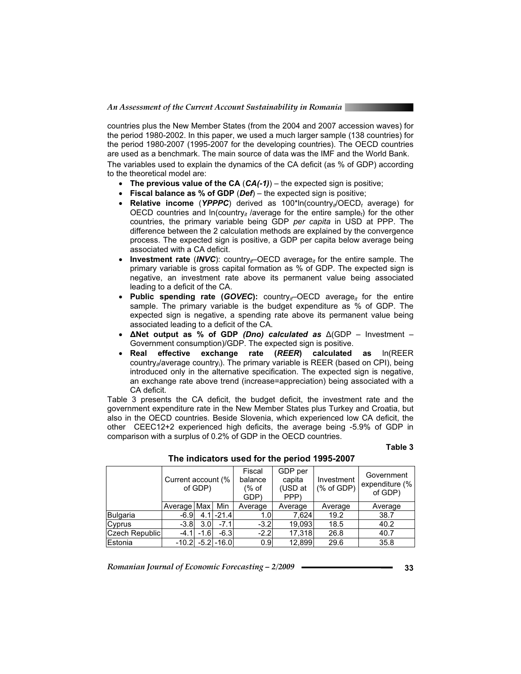countries plus the New Member States (from the 2004 and 2007 accession waves) for the period 1980-2002. In this paper, we used a much larger sample (138 countries) for the period 1980-2007 (1995-2007 for the developing countries). The OECD countries are used as a benchmark. The main source of data was the IMF and the World Bank. The variables used to explain the dynamics of the CA deficit (as % of GDP) according to the theoretical model are:

- **The previous value of the CA** (*CA(-1)*) the expected sign is positive;
- **Fiscal balance as % of GDP** (*Def*) the expected sign is positive;
- Relative income (YPPPC) derived as 100\*ln(country<sub>it</sub>/OECD<sub>t</sub> average) for OECD countries and  $ln$ (country<sub>it</sub> /average for the entire sample<sub>t</sub>) for the other countries, the primary variable being GDP *per capita* in USD at PPP. The difference between the 2 calculation methods are explained by the convergence process. The expected sign is positive, a GDP per capita below average being associated with a CA deficit.
- **Investment rate (***INVC*): country<sub>if</sub>–OECD average<sub>it</sub> for the entire sample. The primary variable is gross capital formation as % of GDP. The expected sign is negative, an investment rate above its permanent value being associated leading to a deficit of the CA.
- Public spending rate (*GOVEC*): country<sub>it</sub>–OECD average<sub>it</sub> for the entire sample. The primary variable is the budget expenditure as % of GDP. The expected sign is negative, a spending rate above its permanent value being associated leading to a deficit of the CA.
- **-Net output as % of GDP** *(Dno) calculated as* (GDP Investment Government consumption)/GDP. The expected sign is positive.
- **Real effective exchange rate (***REER***) calculated as** ln(REER country<sub>it</sub>/average country<sub>i</sub>). The primary variable is REER (based on CPI), being introduced only in the alternative specification. The expected sign is negative, an exchange rate above trend (increase=appreciation) being associated with a CA deficit.

Table 3 presents the CA deficit, the budget deficit, the investment rate and the government expenditure rate in the New Member States plus Turkey and Croatia, but also in the OECD countries. Beside Slovenia, which experienced low CA deficit, the other CEEC12+2 experienced high deficits, the average being -5.9% of GDP in comparison with a surplus of 0.2% of GDP in the OECD countries.

### **Table 3**

|                       | Current account (%<br>of GDP) |                  | Fiscal<br>balance<br>$%$ of<br>GDP) | GDP per<br>capita<br>(USD at<br>PPP) | Investment<br>$(% )^{2}(x)$ of GDP) | Government<br>expenditure (%<br>of GDP) |         |
|-----------------------|-------------------------------|------------------|-------------------------------------|--------------------------------------|-------------------------------------|-----------------------------------------|---------|
|                       | Average Max                   |                  | Min                                 | Average                              | Average                             | Average                                 | Average |
| Bulgaria              | $-6.9$                        | 4.1              | $-21.4$                             | 1.0 <sub>l</sub>                     | 7.624                               | 19.2                                    | 38.7    |
| Cyprus                | $-3.8$                        | 3.0 <sub>l</sub> | $-7.1$                              | $-3.2$                               | 19,093                              | 18.5                                    | 40.2    |
| <b>Czech Republic</b> | $-4.1$                        | $-1.6$           | $-6.3$                              | $-2.2$                               | 17,318                              | 26.8                                    | 40.7    |
| Estonia               | $-10.2$                       |                  | $-5.2$ $-16.0$                      | 0.9                                  | 12.899                              | 29.6                                    | 35.8    |

 **The indicators used for the period 1995-2007**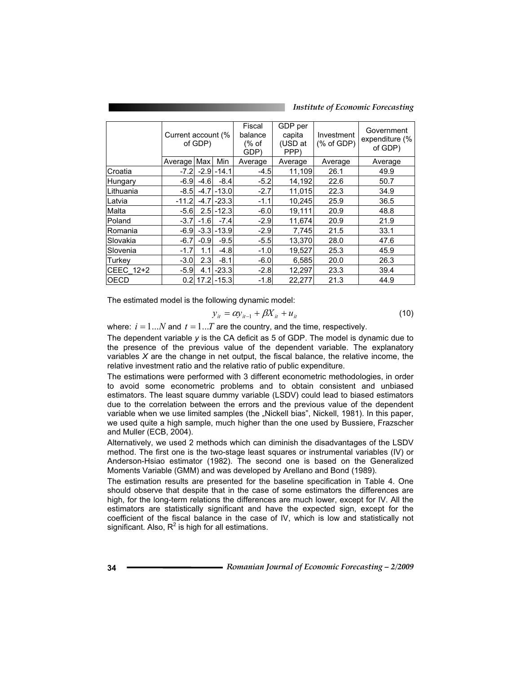*Institute of Economic Forecasting*

|                  | Current account (% | of GDP)           |                | Fiscal<br>balance<br>(% of<br>GDP) | GDP per<br>capita<br>(USD at<br>PPP) | Investment<br>% of GDP) | Government<br>expenditure (%<br>of GDP) |
|------------------|--------------------|-------------------|----------------|------------------------------------|--------------------------------------|-------------------------|-----------------------------------------|
|                  | Average Max        |                   | Min            | Average                            | Average                              | Average                 | Average                                 |
| Croatia          | $-7.2$             |                   | $-2.9$ $-14.1$ | $-4.5$                             | 11,109                               | 26.1                    | 49.9                                    |
| Hungary          | $-6.9$             | $-4.6$            | $-8.4$         | $-5.2$                             | 14,192                               | 22.6                    | 50.7                                    |
| <b>Lithuania</b> | $-8.5$             |                   | $-4.7$ $-13.0$ | $-2.7$                             | 11,015                               | 22.3                    | 34.9                                    |
| Latvia           | $-11.2$            |                   | $-4.7$ $-23.3$ | $-1.1$                             | 10,245                               | 25.9                    | 36.5                                    |
| Malta            | $-5.6$             |                   | $2.5 - 12.3$   | $-6.0$                             | 19,111                               | 20.9                    | 48.8                                    |
| Poland           | $-3.7$             | $-1.6$            | $-7.4$         | $-2.9$                             | 11,674                               | 20.9                    | 21.9                                    |
| IRomania         | $-6.9$             |                   | $-3.3$ $-13.9$ | $-2.9$                             | 7,745                                | 21.5                    | 33.1                                    |
| Slovakia         | $-6.7$             | $-0.9$            | $-9.5$         | $-5.5$                             | 13,370                               | 28.0                    | 47.6                                    |
| Slovenia         | $-1.7$             | 1.1               | $-4.8$         | $-1.0$                             | 19,527                               | 25.3                    | 45.9                                    |
| Turkey           | $-3.0$             | 2.3 <sub>l</sub>  | $-8.1$         | $-6.0$                             | 6,585                                | 20.0                    | 26.3                                    |
| CEEC 12+2        | $-5.9$             | 4.1               | $-23.3$        | $-2.8$                             | 12,297                               | 23.3                    | 39.4                                    |
| <b>OECD</b>      | 0.2                | 17.2 <sub>l</sub> | $-15.3$        | $-1.8$                             | 22.277                               | 21.3                    | 44.9                                    |

The estimated model is the following dynamic model:

$$
y_{it} = \alpha y_{it-1} + \beta X_{it} + u_{it}
$$
 (10)

where:  $i = 1...N$  and  $t = 1...T$  are the country, and the time, respectively.

The dependent variable *y* is the CA deficit as 5 of GDP. The model is dynamic due to the presence of the previous value of the dependent variable. The explanatory variables *X* are the change in net output, the fiscal balance, the relative income, the relative investment ratio and the relative ratio of public expenditure.

The estimations were performed with 3 different econometric methodologies, in order to avoid some econometric problems and to obtain consistent and unbiased estimators. The least square dummy variable (LSDV) could lead to biased estimators due to the correlation between the errors and the previous value of the dependent variable when we use limited samples (the "Nickell bias", Nickell, 1981). In this paper, we used quite a high sample, much higher than the one used by Bussiere, Frazscher and Muller (ECB, 2004).

Alternatively, we used 2 methods which can diminish the disadvantages of the LSDV method. The first one is the two-stage least squares or instrumental variables (IV) or Anderson-Hsiao estimator (1982). The second one is based on the Generalized Moments Variable (GMM) and was developed by Arellano and Bond (1989).

The estimation results are presented for the baseline specification in Table 4. One should observe that despite that in the case of some estimators the differences are high, for the long-term relations the differences are much lower, except for IV. All the estimators are statistically significant and have the expected sign, except for the coefficient of the fiscal balance in the case of IV, which is low and statistically not significant. Also,  $R^2$  is high for all estimations.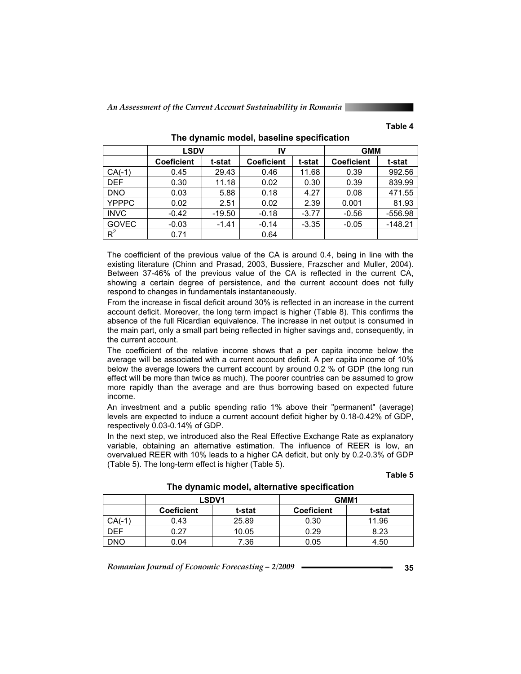### **Table 4**

|              | <b>LSDV</b>       |          | IV                |         | <b>GMM</b>        |           |
|--------------|-------------------|----------|-------------------|---------|-------------------|-----------|
|              | <b>Coeficient</b> | t-stat   | <b>Coeficient</b> | t-stat  | <b>Coeficient</b> | t-stat    |
| $CA(-1)$     | 0.45              | 29.43    | 0.46              | 11.68   | 0.39              | 992.56    |
| <b>DEF</b>   | 0.30              | 11.18    | 0.02              | 0.30    | 0.39              | 839.99    |
| <b>DNO</b>   | 0.03              | 5.88     | 0.18              | 4.27    | 0.08              | 471.55    |
| <b>YPPPC</b> | 0.02              | 2.51     | 0.02              | 2.39    | 0.001             | 81.93     |
| <b>INVC</b>  | $-0.42$           | $-19.50$ | $-0.18$           | $-3.77$ | $-0.56$           | $-556.98$ |
| <b>GOVEC</b> | $-0.03$           | $-1.41$  | $-0.14$           | $-3.35$ | $-0.05$           | $-148.21$ |
| $R^2$        | 0.71              |          | 0.64              |         |                   |           |

**The dynamic model, baseline specification** 

The coefficient of the previous value of the CA is around 0.4, being in line with the existing literature (Chinn and Prasad, 2003, Bussiere, Frazscher and Muller, 2004). Between 37-46% of the previous value of the CA is reflected in the current CA, showing a certain degree of persistence, and the current account does not fully respond to changes in fundamentals instantaneously.

From the increase in fiscal deficit around 30% is reflected in an increase in the current account deficit. Moreover, the long term impact is higher (Table 8). This confirms the absence of the full Ricardian equivalence. The increase in net output is consumed in the main part, only a small part being reflected in higher savings and, consequently, in the current account.

The coefficient of the relative income shows that a per capita income below the average will be associated with a current account deficit. A per capita income of 10% below the average lowers the current account by around 0.2 % of GDP (the long run effect will be more than twice as much). The poorer countries can be assumed to grow more rapidly than the average and are thus borrowing based on expected future income.

An investment and a public spending ratio 1% above their "permanent" (average) levels are expected to induce a current account deficit higher by 0.18-0.42% of GDP, respectively 0.03-0.14% of GDP.

In the next step, we introduced also the Real Effective Exchange Rate as explanatory variable, obtaining an alternative estimation. The influence of REER is low, an overvalued REER with 10% leads to a higher CA deficit, but only by 0.2-0.3% of GDP (Table 5). The long-term effect is higher (Table 5).

#### **Table 5**

**The dynamic model, alternative specification** 

|       |                   | <b>LSDV1</b> | GMM1              |        |  |
|-------|-------------------|--------------|-------------------|--------|--|
|       | <b>Coeficient</b> | t-stat       | <b>Coeficient</b> | t-stat |  |
| CA(-1 | 0.43              | 25.89        | 0.30              | 11.96  |  |
| )FF   | 0.27              | 10.05        | 0.29              | 8.23   |  |
| ONC   | 0.04              | 7.36         | 0.05              | 4.50   |  |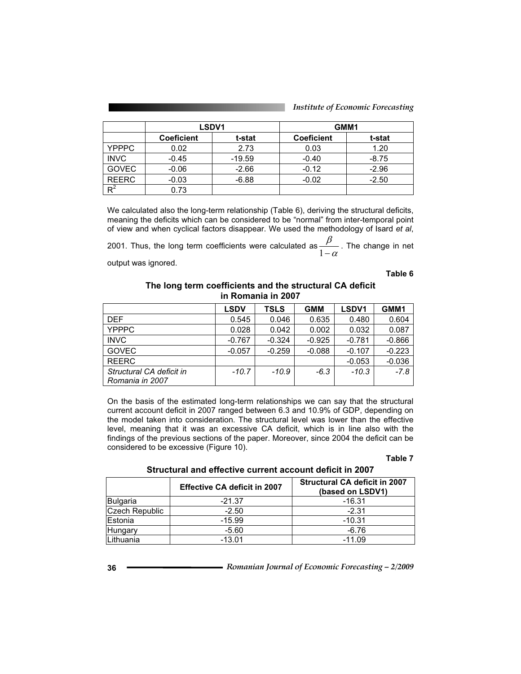|  | <b>Institute of Economic Forecasting</b> |
|--|------------------------------------------|
|  |                                          |

|              |                   | LSDV1    | GMM1              |         |  |
|--------------|-------------------|----------|-------------------|---------|--|
|              | <b>Coeficient</b> | t-stat   | <b>Coeficient</b> | t-stat  |  |
| <b>YPPPC</b> | 0.02              | 2.73     | 0.03              | 1.20    |  |
| <b>INVC</b>  | $-0.45$           | $-19.59$ | $-0.40$           | $-8.75$ |  |
| <b>GOVEC</b> | $-0.06$           | $-2.66$  | $-0.12$           | $-2.96$ |  |
| <b>REERC</b> | $-0.03$           | $-6.88$  | $-0.02$           | $-2.50$ |  |
| Dř           | 0.73              |          |                   |         |  |

We calculated also the long-term relationship (Table 6), deriving the structural deficits, meaning the deficits which can be considered to be "normal" from inter-temporal point of view and when cyclical factors disappear. We used the methodology of Isard *et al*,

2001. Thus, the long term coefficients were calculated as  $\frac{r}{1-\alpha}$  $\frac{\beta}{1-\alpha}$ . The change in net

output was ignored.

**Table 6** 

### **The long term coefficients and the structural CA deficit in Romania in 2007**

|                                             | <b>LSDV</b> | <b>TSLS</b> | <b>GMM</b> | LSDV <sub>1</sub> | GMM1     |
|---------------------------------------------|-------------|-------------|------------|-------------------|----------|
| <b>DEF</b>                                  | 0.545       | 0.046       | 0.635      | 0.480             | 0.604    |
| <b>YPPPC</b>                                | 0.028       | 0.042       | 0.002      | 0.032             | 0.087    |
| <b>INVC</b>                                 | $-0.767$    | $-0.324$    | $-0.925$   | $-0.781$          | $-0.866$ |
| <b>GOVEC</b>                                | $-0.057$    | $-0.259$    | $-0.088$   | $-0.107$          | $-0.223$ |
| <b>REERC</b>                                |             |             |            | $-0.053$          | $-0.036$ |
| Structural CA deficit in<br>Romania in 2007 | $-10.7$     | $-10.9$     | $-6.3$     | $-10.3$           | $-7.8$   |

On the basis of the estimated long-term relationships we can say that the structural current account deficit in 2007 ranged between 6.3 and 10.9% of GDP, depending on the model taken into consideration. The structural level was lower than the effective level, meaning that it was an excessive CA deficit, which is in line also with the findings of the previous sections of the paper. Moreover, since 2004 the deficit can be considered to be excessive (Figure 10).

### **Table 7**

| Structural and effective current account deficit in 2007 |  |
|----------------------------------------------------------|--|
|----------------------------------------------------------|--|

|                       | <b>Effective CA deficit in 2007</b> | <b>Structural CA deficit in 2007</b><br>(based on LSDV1) |
|-----------------------|-------------------------------------|----------------------------------------------------------|
| <b>Bulgaria</b>       | $-21.37$                            | -16.31                                                   |
| <b>Czech Republic</b> | $-2.50$                             | $-2.31$                                                  |
| Estonia               | $-15.99$                            | $-10.31$                                                 |
| Hungary               | $-5.60$                             | $-6.76$                                                  |
| <sub>-</sub> ithuania | $-13.01$                            | $-11.09$                                                 |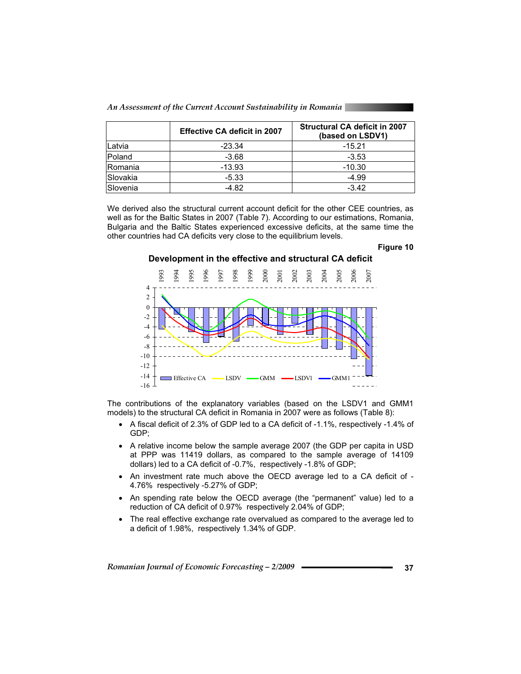*An Assessment of the Current Account Sustainability in Romania* 

|                 | <b>Effective CA deficit in 2007</b> | <b>Structural CA deficit in 2007</b><br>(based on LSDV1) |
|-----------------|-------------------------------------|----------------------------------------------------------|
| Latvia          | $-23.34$                            | $-15.21$                                                 |
| Poland          | $-3.68$                             | $-3.53$                                                  |
| <b>IRomania</b> | $-13.93$                            | $-10.30$                                                 |
| Slovakia        | $-5.33$                             | $-4.99$                                                  |
| Slovenia        | -4.82                               | $-3.42$                                                  |

We derived also the structural current account deficit for the other CEE countries, as well as for the Baltic States in 2007 (Table 7). According to our estimations, Romania, Bulgaria and the Baltic States experienced excessive deficits, at the same time the other countries had CA deficits very close to the equilibrium levels.

#### **Figure 10**

### **Development in the effective and structural CA deficit**



The contributions of the explanatory variables (based on the LSDV1 and GMM1 models) to the structural CA deficit in Romania in 2007 were as follows (Table 8):

- A fiscal deficit of 2.3% of GDP led to a CA deficit of -1.1%, respectively -1.4% of GDP;
- A relative income below the sample average 2007 (the GDP per capita in USD at PPP was 11419 dollars, as compared to the sample average of 14109 dollars) led to a CA deficit of -0.7%, respectively -1.8% of GDP;
- An investment rate much above the OECD average led to a CA deficit of 4.76% respectively -5.27% of GDP;
- An spending rate below the OECD average (the "permanent" value) led to a reduction of CA deficit of 0.97% respectively 2.04% of GDP;
- The real effective exchange rate overvalued as compared to the average led to a deficit of 1.98%, respectively 1.34% of GDP.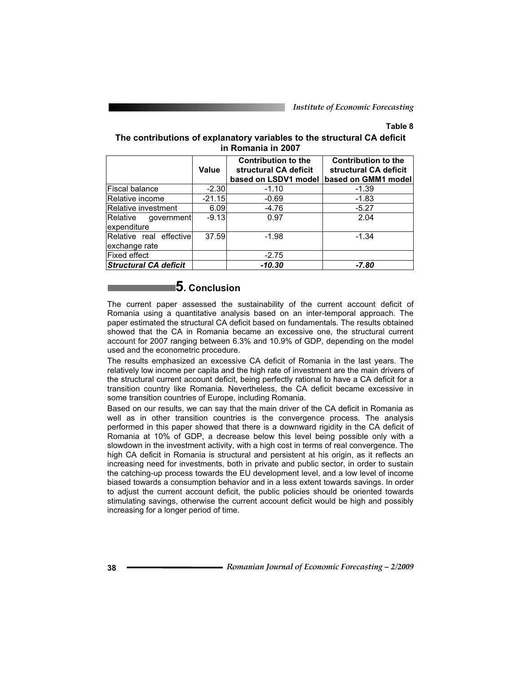### **Table 8**

### **The contributions of explanatory variables to the structural CA deficit in Romania in 2007**

|                                           | Value    | <b>Contribution to the</b><br>structural CA deficit<br>based on LSDV1 model | <b>Contribution to the</b><br>structural CA deficit<br>based on GMM1 model |
|-------------------------------------------|----------|-----------------------------------------------------------------------------|----------------------------------------------------------------------------|
| <b>Fiscal balance</b>                     | $-2.30$  | $-1.10$                                                                     | $-1.39$                                                                    |
| Relative income                           | $-21.15$ | $-0.69$                                                                     | $-1.83$                                                                    |
| Relative investment                       | 6.09     | $-4.76$                                                                     | $-5.27$                                                                    |
| Relative<br>government<br>expenditure     | $-9.13$  | 0.97                                                                        | 2.04                                                                       |
| Relative real effectivel<br>exchange rate | 37.59    | $-1.98$                                                                     | $-1.34$                                                                    |
| Fixed effect                              |          | $-2.75$                                                                     |                                                                            |
| <b>Structural CA deficit</b>              |          | $-10.30$                                                                    | $-7.80$                                                                    |

# **5. Conclusion**

The current paper assessed the sustainability of the current account deficit of Romania using a quantitative analysis based on an inter-temporal approach. The paper estimated the structural CA deficit based on fundamentals. The results obtained showed that the CA in Romania became an excessive one, the structural current account for 2007 ranging between 6.3% and 10.9% of GDP, depending on the model used and the econometric procedure.

The results emphasized an excessive CA deficit of Romania in the last years. The relatively low income per capita and the high rate of investment are the main drivers of the structural current account deficit, being perfectly rational to have a CA deficit for a transition country like Romania. Nevertheless, the CA deficit became excessive in some transition countries of Europe, including Romania.

Based on our results, we can say that the main driver of the CA deficit in Romania as well as in other transition countries is the convergence process. The analysis performed in this paper showed that there is a downward rigidity in the CA deficit of Romania at 10% of GDP, a decrease below this level being possible only with a slowdown in the investment activity, with a high cost in terms of real convergence. The high CA deficit in Romania is structural and persistent at his origin, as it reflects an increasing need for investments, both in private and public sector, in order to sustain the catching-up process towards the EU development level, and a low level of income biased towards a consumption behavior and in a less extent towards savings. In order to adjust the current account deficit, the public policies should be oriented towards stimulating savings, otherwise the current account deficit would be high and possibly increasing for a longer period of time.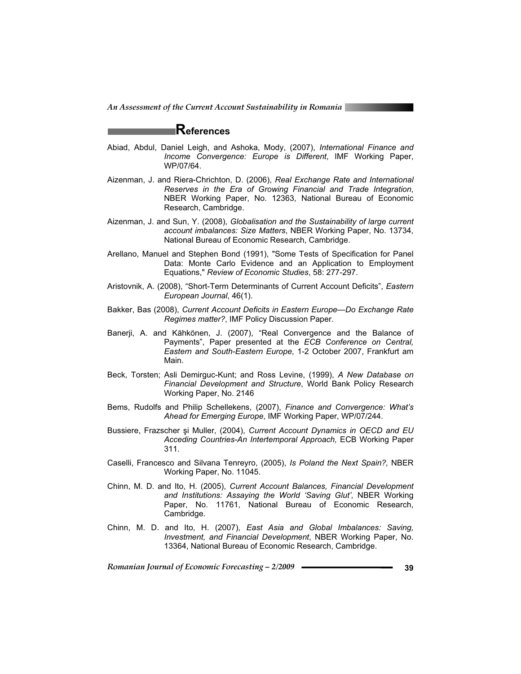# **References**

- Abiad, Abdul, Daniel Leigh, and Ashoka, Mody, (2007), *International Finance and Income Convergence: Europe is Different*, IMF Working Paper, WP/07/64.
- Aizenman, J. and Riera-Chrichton, D. (2006), *Real Exchange Rate and International Reserves in the Era of Growing Financial and Trade Integration*, NBER Working Paper, No. 12363, National Bureau of Economic Research, Cambridge.
- Aizenman, J. and Sun, Y. (2008), *Globalisation and the Sustainability of large current account imbalances: Size Matters*, NBER Working Paper, No. 13734, National Bureau of Economic Research, Cambridge.
- Arellano, Manuel and Stephen Bond (1991), "Some Tests of Specification for Panel Data: Monte Carlo Evidence and an Application to Employment Equations," *Review of Economic Studies*, 58: 277-297.
- Aristovnik, A. (2008), "Short-Term Determinants of Current Account Deficits", *Eastern European Journal*, 46(1).
- Bakker, Bas (2008), *Current Account Deficits in Eastern Europe—Do Exchange Rate Regimes matter?*, IMF Policy Discussion Paper.
- Banerji, A. and Kähkönen, J. (2007), "Real Convergence and the Balance of Payments", Paper presented at the *ECB Conference on Central, Eastern and South-Eastern Europe*, 1-2 October 2007, Frankfurt am Main.
- Beck, Torsten; Asli Demirguc-Kunt; and Ross Levine, (1999), *A New Database on Financial Development and Structure*, World Bank Policy Research Working Paper, No. 2146
- Bems, Rudolfs and Philip Schellekens, (2007), *Finance and Convergence: What's Ahead for Emerging Europe*, IMF Working Paper, WP/07/244.
- Bussiere, Frazscher și Muller, (2004), *Current Account Dynamics in OECD and EU Acceding Countries-An Intertemporal Approach,* ECB Working Paper 311.
- Caselli, Francesco and Silvana Tenreyro, (2005), *Is Poland the Next Spain?,* NBER Working Paper, No. 11045.
- Chinn, M. D. and Ito, H. (2005), *Current Account Balances, Financial Development and Institutions: Assaying the World 'Saving Glut'*, NBER Working Paper, No. 11761, National Bureau of Economic Research, Cambridge.
- Chinn, M. D. and Ito, H. (2007), *East Asia and Global Imbalances: Saving, Investment, and Financial Development*, NBER Working Paper, No. 13364, National Bureau of Economic Research, Cambridge.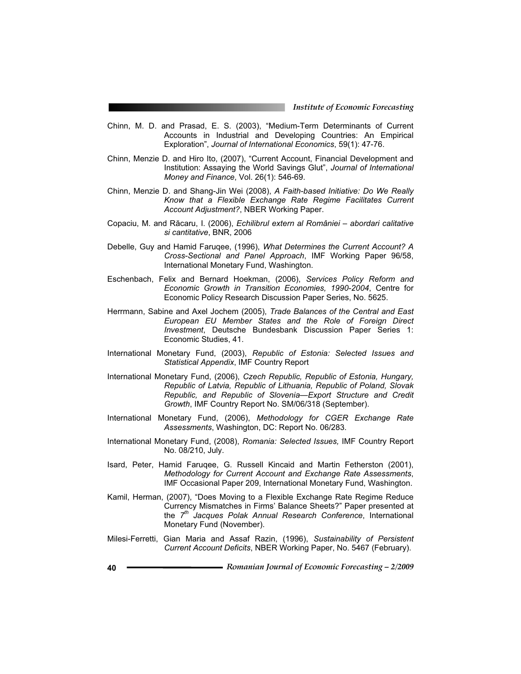- Chinn, M. D. and Prasad, E. S. (2003), "Medium-Term Determinants of Current Accounts in Industrial and Developing Countries: An Empirical Exploration", *Journal of International Economics*, 59(1): 47-76.
- Chinn, Menzie D. and Hiro Ito, (2007), "Current Account, Financial Development and Institution: Assaying the World Savings Glut", *Journal of International Money and Finance*, Vol. 26(1): 546-69.
- Chinn, Menzie D. and Shang-Jin Wei (2008), *A Faith-based Initiative: Do We Really Know that a Flexible Exchange Rate Regime Facilitates Current Account Adjustment?*, NBER Working Paper.
- Copaciu, M. and Răcaru, I. (2006), *Echilibrul extern al României abordari calitative si cantitative*, BNR, 2006
- Debelle, Guy and Hamid Faruqee, (1996), *What Determines the Current Account? A Cross-Sectional and Panel Approach*, IMF Working Paper 96/58, International Monetary Fund, Washington.
- Eschenbach, Felix and Bernard Hoekman, (2006), *Services Policy Reform and Economic Growth in Transition Economies, 1990-2004*, Centre for Economic Policy Research Discussion Paper Series, No. 5625.
- Herrmann, Sabine and Axel Jochem (2005), *Trade Balances of the Central and East European EU Member States and the Role of Foreign Direct Investment*, Deutsche Bundesbank Discussion Paper Series 1: Economic Studies, 41.
- International Monetary Fund, (2003), *Republic of Estonia: Selected Issues and Statistical Appendix*, IMF Country Report
- International Monetary Fund, (2006), *Czech Republic, Republic of Estonia, Hungary, Republic of Latvia, Republic of Lithuania, Republic of Poland, Slovak Republic, and Republic of Slovenia—Export Structure and Credit Growth*, IMF Country Report No. SM/06/318 (September).
- International Monetary Fund, (2006), *Methodology for CGER Exchange Rate Assessments*, Washington, DC: Report No. 06/283.
- International Monetary Fund, (2008), *Romania: Selected Issues,* IMF Country Report No. 08/210, July.
- Isard, Peter, Hamid Faruqee, G. Russell Kincaid and Martin Fetherston (2001), *Methodology for Current Account and Exchange Rate Assessments*, IMF Occasional Paper 209, International Monetary Fund, Washington.
- Kamil, Herman, (2007), "Does Moving to a Flexible Exchange Rate Regime Reduce Currency Mismatches in Firms' Balance Sheets?" Paper presented at the *7th Jacques Polak Annual Research Conference*, International Monetary Fund (November).
- Milesi-Ferretti, Gian Maria and Assaf Razin, (1996), *Sustainability of Persistent Current Account Deficits*, NBER Working Paper, No. 5467 (February).
- **<sup>40</sup>***Romanian Journal of Economic Forecasting 2/2009*